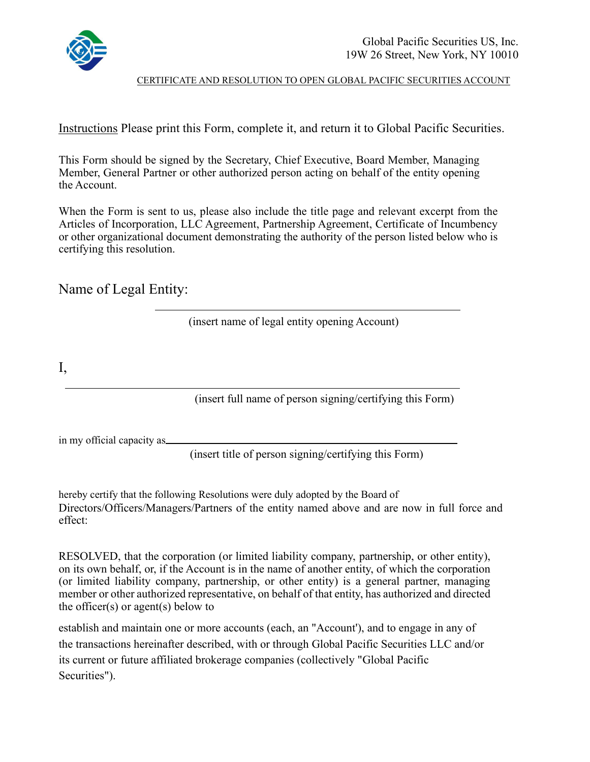

CERTIFICATE AND RESOLUTION TO OPEN GLOBAL PACIFIC SECURITIES ACCOUNT

Instructions Please print this Form, complete it, and return it to Global Pacific Securities.

This Form should be signed by the Secretary, Chief Executive, Board Member, Managing Member, General Partner or other authorized person acting on behalf of the entity opening the Account.

When the Form is sent to us, please also include the title page and relevant excerpt from the Articles of Incorporation, LLC Agreement, Partnership Agreement, Certificate of Incumbency or other organizational document demonstrating the authority of the person listed below who is certifying this resolution.

Name of Legal Entity:

(insert name of legal entity opening Account)

I,

(insert full name of person signing/certifying this Form)

in my official capacity as

(insert title of person signing/certifying this Form)

hereby certify that the following Resolutions were duly adopted by the Board of Directors/Officers/Managers/Partners of the entity named above and are now in full force and effect:

RESOLVED, that the corporation (or limited liability company, partnership, or other entity), on its own behalf, or, if the Account is in the name of another entity, of which the corporation (or limited liability company, partnership, or other entity) is a general partner, managing member or other authorized representative, on behalf of that entity, has authorized and directed the officer(s) or agent(s) below to

establish and maintain one or more accounts (each, an "Account'), and to engage in any of the transactions hereinafter described, with or through Global Pacific Securities LLC and/or its current or future affiliated brokerage companies (collectively "Global Pacific Securities").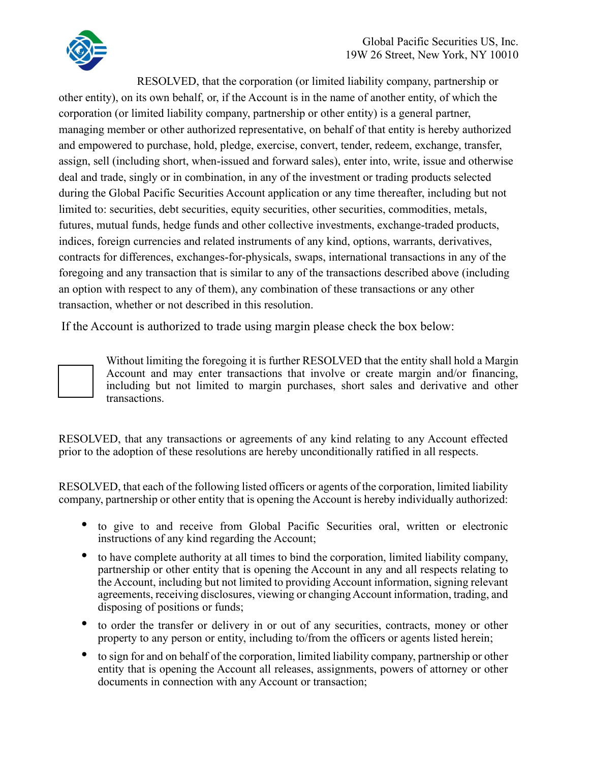

RESOLVED, that the corporation (or limited liability company, partnership or

other entity), on its own behalf, or, if the Account is in the name of another entity, of which the corporation (or limited liability company, partnership or other entity) is a general partner, managing member or other authorized representative, on behalf of that entity is hereby authorized and empowered to purchase, hold, pledge, exercise, convert, tender, redeem, exchange, transfer, assign, sell (including short, when-issued and forward sales), enter into, write, issue and otherwise deal and trade, singly or in combination, in any of the investment or trading products selected during the Global Pacific Securities Account application or any time thereafter, including but not limited to: securities, debt securities, equity securities, other securities, commodities, metals, futures, mutual funds, hedge funds and other collective investments, exchange-traded products, indices, foreign currencies and related instruments of any kind, options, warrants, derivatives, contracts for differences, exchanges-for-physicals, swaps, international transactions in any of the foregoing and any transaction that is similar to any of the transactions described above (including an option with respect to any of them), any combination of these transactions or any other transaction, whether or not described in this resolution.

If the Account is authorized to trade using margin please check the box below:

Without limiting the foregoing it is further RESOLVED that the entity shall hold a Margin Account and may enter transactions that involve or create margin and/or financing, including but not limited to margin purchases, short sales and derivative and other transactions.

RESOLVED, that any transactions or agreements of any kind relating to any Account effected prior to the adoption of these resolutions are hereby unconditionally ratified in all respects.

RESOLVED, that each of the following listed officers or agents of the corporation, limited liability company, partnership or other entity that is opening the Account is hereby individually authorized:

- to give to and receive from Global Pacific Securities oral, written or electronic instructions of any kind regarding the Account;
- to have complete authority at all times to bind the corporation, limited liability company, partnership or other entity that is opening the Account in any and all respects relating to the Account, including but not limited to providing Account information, signing relevant agreements, receiving disclosures, viewing or changing Account information, trading, and disposing of positions or funds;
- to order the transfer or delivery in or out of any securities, contracts, money or other property to any person or entity, including to/from the officers or agents listed herein;
- to sign for and on behalf of the corporation, limited liability company, partnership or other entity that is opening the Account all releases, assignments, powers of attorney or other documents in connection with any Account or transaction;